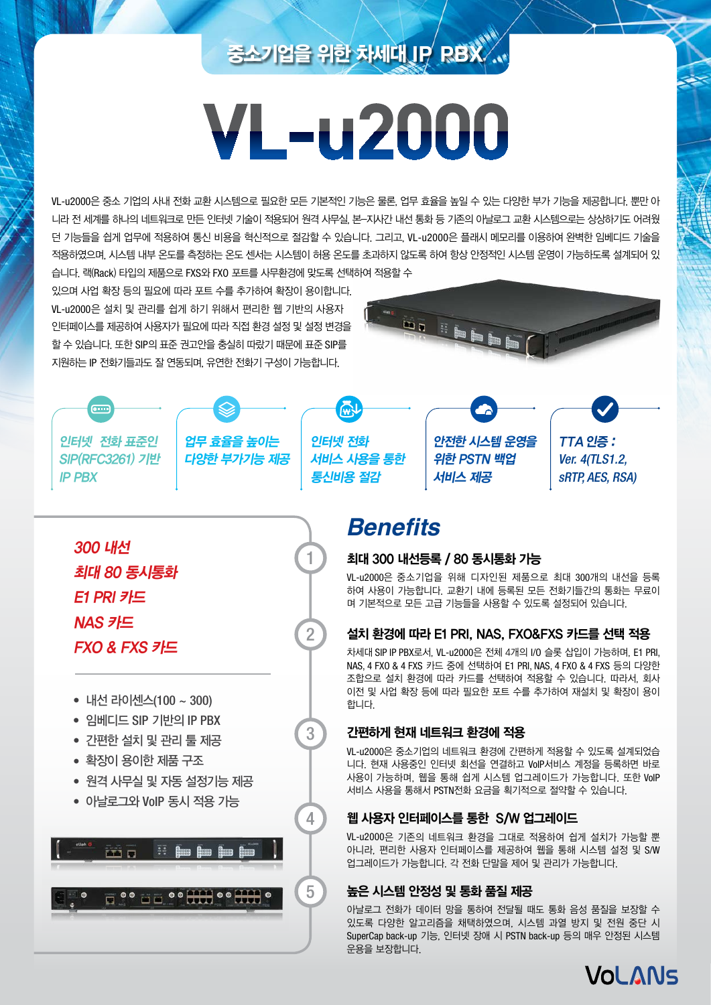# 중소기업을 위한 차세대 **IP PBX**

# **VL-u2000**

VL-u2000은 중소 기업의 사내 전화 교환 시스템으로 필요한 모든 기본적인 기능은 물론, 업무 효율을 높일 수 있는 다양한 부가 기능을 제공합니다. 뿐만 아 니라 전 세계를 하나의 네트워크로 만든 인터넷 기술이 적용되어 원격 사무실, 본-지사간 내선 통화 등 기존의 아날로그 교환 시스템으로는 상상하기도 어려웠 던 기능들을 쉽게 업무에 적용하여 통신 비용을 혁신적으로 절감할 수 있습니다. 그리고, VL-u2000은 플래시 메모리를 이용하여 완벽한 임베디드 기술을 적용하였으며, 시스템 내부 온도를 측정하는 온도 센서는 시스템이 허용 온도를 초과하지 않도록 하여 항상 안정적인 시스템 운영이 가능하도록 설계되어 있 습니다. 랙(Rack) 타입의 제품으로 FXS와 FXO 포트를 사무환경에 맞도록 선택하여 적용할 수

있으며 사업 확장 등의 필요에 따라 포트 수를 추가하여 확장이 용이합니다. VL-u2000은 설치 및 관리를 쉽게 하기 위해서 편리한 웹 기반의 사용자 인터페이스를 제공하여 사용자가 필요에 따라 직접 환경 설정 및 설정 변경을 할 수 있습니다. 또한 SIP의 표준 권고안을 충실히 따랐기 때문에 표준 SIP를 지원하는 IP 전화기들과도 잘 연동되며, 유연한 전화기 구성이 가능합니다.



인터넷 전화 표준인 SIP(RFC3261) 기반 IP PBX

6....

300 내선

E1 PRI 카드

NAS 카드

최대 80 동시통화

FXO & FXS 카드

업무 효율을 높이는 다양한 부가기능 제공 인터넷 전화 서비스 사용을 통한 통신비용 절감

1

2

3

4

5

안전한 시스템 운영을 위한 PSTN 백업 서비스 제공

TTA 인증 : Ver. 4(TLS1.2, sRTP, AES, RSA)

### **Benefits**

#### 최대 300 내선등록 / 80 동시통화 가능

VL-u2000은 중소기업을 위해 디자인된 제품으로 최대 300개의 내선을 등록 하여 사용이 가능합니다. 교환기 내에 등록된 모든 전화기들간의 통화는 무료이 며 기본적으로 모든 고급 기능들을 사용할 수 있도록 설정되어 있습니다.

#### 설치 환경에 따라 E1 PRI, NAS, FXO&FXS 카드를 선택 적용

차세대 SIP IP PBX로서, VL-u2000은 전체 4개의 I/O 슬롯 삽입이 가능하며, E1 PRI, NAS, 4 FXO & 4 FXS 카드 중에 선택하여 E1 PRI, NAS, 4 FXO & 4 FXS 등의 다양한 조합으로 설치 환경에 따라 카드를 선택하여 적용할 수 있습니다. 따라서, 회사 이전 및 사업 확장 등에 따라 필요한 포트 수를 추가하여 재설치 및 확장이 용이 합니다.

#### 간편하게 현재 네트워크 환경에 적용

VL-u2000은 중소기업의 네트워크 환경에 간편하게 적용할 수 있도록 설계되었습 니다. 현재 사용중인 인터넷 회선을 연결하고 VoIP서비스 계정을 등록하면 바로 사용이 가능하며, 웹을 통해 쉽게 시스템 업그레이드가 가능합니다. 또한 VoIP 서비스 사용을 통해서 PSTN전화 요금을 획기적으로 절약할 수 있습니다.

#### 웹 사용자 인터페이스를 통한 S/W 업그레이드

VL-u2000은 기존의 네트워크 환경을 그대로 적용하여 쉽게 설치가 가능할 뿐 아니라, 편리한 사용자 인터페이스를 제공하여 웹을 통해 시스템 설정 및 S/W 업그레이드가 가능합니다. 각 전화 단말을 제어 및 관리가 가능합니다.

#### 높은 시스템 안정성 및 통화 품질 제공

아날로그 전화가 데이터 망을 통하여 전달될 때도 통화 음성 품질을 보장할 수 있도록 다양한 알고리즘을 채택하였으며, 시스템 과열 방지 및 전원 중단 시 SuperCap back-up 기능, 인터넷 장애 시 PSTN back-up 등의 매우 안정된 시스템 운용을 보장합니다.



• 내선 라이센스(100 ~ 300)

- 임베디드 SIP 기반의 IP PBX
- 간편한 설치 및 관리 툴 제공
- 확장이 용이한 제품 구조
- 원격 사무실 및 자동 설정기능 제공
- 아날로그와 VoIP 동시 적용 가능